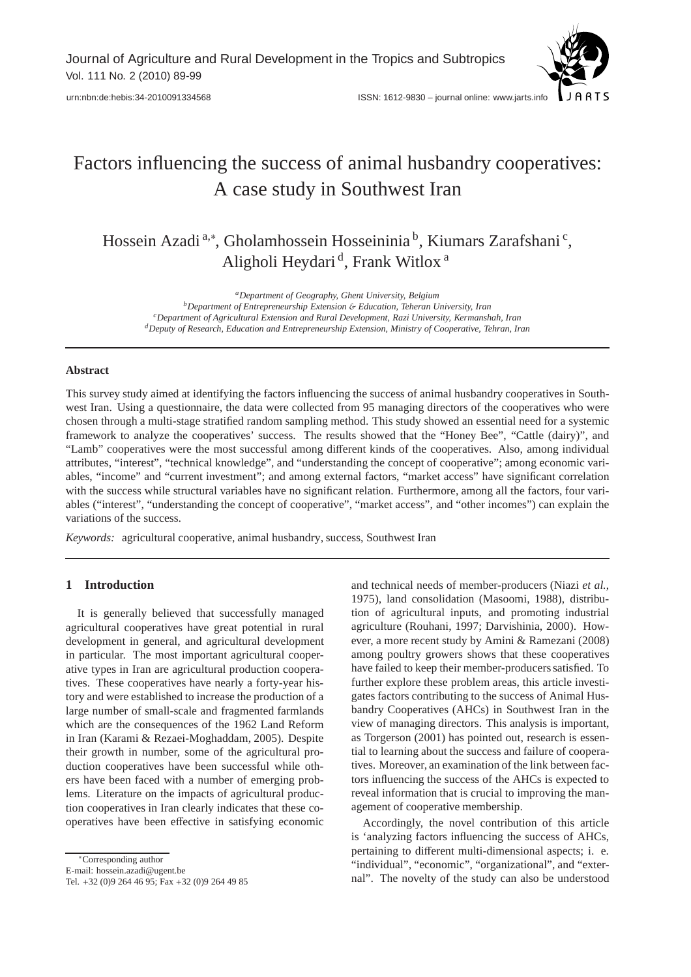

# Factors influencing the success of animal husbandry cooperatives: A case study in Southwest Iran

Hossein Azadi<sup>a,∗</sup>, Gholamhossein Hosseininia<sup>b</sup>, Kiumars Zarafshani<sup>c</sup>, Aligholi Heydari<sup>d</sup>, Frank Witlox<sup>a</sup>

*<sup>a</sup>Department of Geography, Ghent University, Belgium <sup>b</sup>Department of Entrepreneurship Extension* & *Education, Teheran University, Iran <sup>c</sup>Department of Agricultural Extension and Rural Development, Razi University, Kermanshah, Iran <sup>d</sup>Deputy of Research, Education and Entrepreneurship Extension, Ministry of Cooperative, Tehran, Iran*

#### **Abstract**

This survey study aimed at identifying the factors influencing the success of animal husbandry cooperatives in Southwest Iran. Using a questionnaire, the data were collected from 95 managing directors of the cooperatives who were chosen through a multi-stage stratified random sampling method. This study showed an essential need for a systemic framework to analyze the cooperatives' success. The results showed that the "Honey Bee", "Cattle (dairy)", and "Lamb" cooperatives were the most successful among different kinds of the cooperatives. Also, among individual attributes, "interest", "technical knowledge", and "understanding the concept of cooperative"; among economic variables, "income" and "current investment"; and among external factors, "market access" have significant correlation with the success while structural variables have no significant relation. Furthermore, among all the factors, four variables ("interest", "understanding the concept of cooperative", "market access", and "other incomes") can explain the variations of the success.

*Keywords:* agricultural cooperative, animal husbandry, success, Southwest Iran

# **1 Introduction**

It is generally believed that successfully managed agricultural cooperatives have great potential in rural development in general, and agricultural development in particular. The most important agricultural cooperative types in Iran are agricultural production cooperatives. These cooperatives have nearly a forty-year history and were established to increase the production of a large number of small-scale and fragmented farmlands which are the consequences of the 1962 Land Reform in Iran (Karami & Rezaei-Moghaddam, 2005). Despite their growth in number, some of the agricultural production cooperatives have been successful while others have been faced with a number of emerging problems. Literature on the impacts of agricultural production cooperatives in Iran clearly indicates that these cooperatives have been effective in satisfying economic

<sup>∗</sup>Corresponding author

E-mail: hossein.azadi@ugent.be

and technical needs of member-producers (Niazi *et al.*, 1975), land consolidation (Masoomi, 1988), distribution of agricultural inputs, and promoting industrial agriculture (Rouhani, 1997; Darvishinia, 2000). However, a more recent study by Amini & Ramezani (2008) among poultry growers shows that these cooperatives have failed to keep their member-producers satisfied. To further explore these problem areas, this article investigates factors contributing to the success of Animal Husbandry Cooperatives (AHCs) in Southwest Iran in the view of managing directors. This analysis is important, as Torgerson (2001) has pointed out, research is essential to learning about the success and failure of cooperatives. Moreover, an examination of the link between factors influencing the success of the AHCs is expected to reveal information that is crucial to improving the management of cooperative membership.

Accordingly, the novel contribution of this article is 'analyzing factors influencing the success of AHCs, pertaining to different multi-dimensional aspects; i. e. "individual", "economic", "organizational", and "external". The novelty of the study can also be understood

Tel. +32 (0)9 264 46 95; Fax +32 (0)9 264 49 85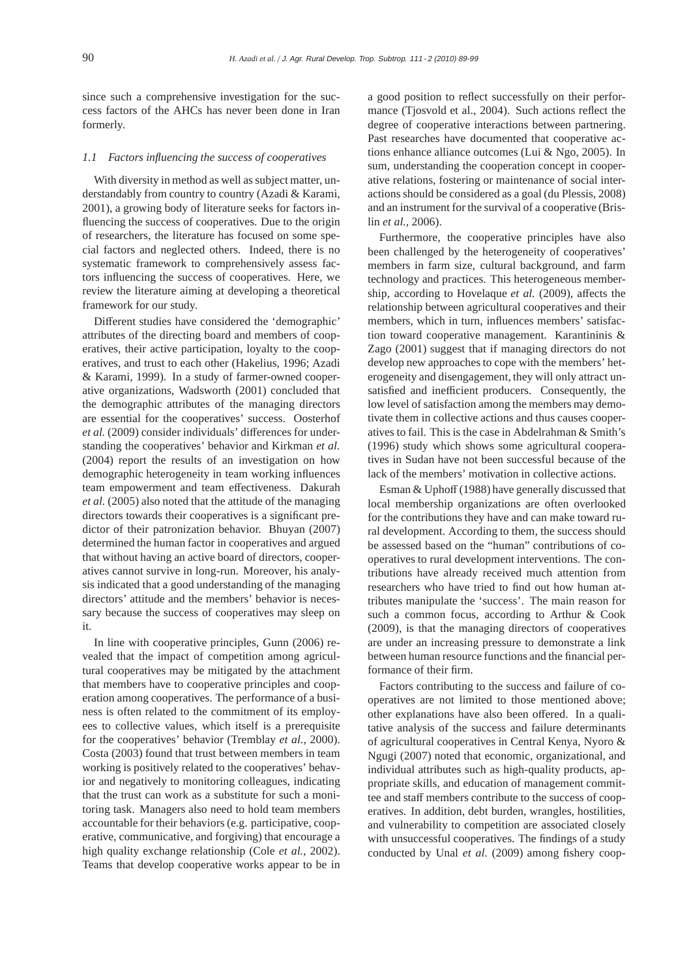since such a comprehensive investigation for the success factors of the AHCs has never been done in Iran formerly.

## *1.1 Factors influencing the success of cooperatives*

With diversity in method as well as subject matter, understandably from country to country (Azadi & Karami, 2001), a growing body of literature seeks for factors influencing the success of cooperatives. Due to the origin of researchers, the literature has focused on some special factors and neglected others. Indeed, there is no systematic framework to comprehensively assess factors influencing the success of cooperatives. Here, we review the literature aiming at developing a theoretical framework for our study.

Different studies have considered the 'demographic' attributes of the directing board and members of cooperatives, their active participation, loyalty to the cooperatives, and trust to each other (Hakelius, 1996; Azadi & Karami, 1999). In a study of farmer-owned cooperative organizations, Wadsworth (2001) concluded that the demographic attributes of the managing directors are essential for the cooperatives' success. Oosterhof *et al.* (2009) consider individuals' differences for understanding the cooperatives' behavior and Kirkman *et al.* (2004) report the results of an investigation on how demographic heterogeneity in team working influences team empowerment and team effectiveness. Dakurah *et al.* (2005) also noted that the attitude of the managing directors towards their cooperatives is a significant predictor of their patronization behavior. Bhuyan (2007) determined the human factor in cooperatives and argued that without having an active board of directors, cooperatives cannot survive in long-run. Moreover, his analysis indicated that a good understanding of the managing directors' attitude and the members' behavior is necessary because the success of cooperatives may sleep on it.

In line with cooperative principles, Gunn (2006) revealed that the impact of competition among agricultural cooperatives may be mitigated by the attachment that members have to cooperative principles and cooperation among cooperatives. The performance of a business is often related to the commitment of its employees to collective values, which itself is a prerequisite for the cooperatives' behavior (Tremblay *et al.*, 2000). Costa (2003) found that trust between members in team working is positively related to the cooperatives' behavior and negatively to monitoring colleagues, indicating that the trust can work as a substitute for such a monitoring task. Managers also need to hold team members accountable for their behaviors (e.g. participative, cooperative, communicative, and forgiving) that encourage a high quality exchange relationship (Cole *et al.*, 2002). Teams that develop cooperative works appear to be in

a good position to reflect successfully on their performance (Tjosvold et al., 2004). Such actions reflect the degree of cooperative interactions between partnering. Past researches have documented that cooperative actions enhance alliance outcomes (Lui & Ngo, 2005). In sum, understanding the cooperation concept in cooperative relations, fostering or maintenance of social interactions should be considered as a goal (du Plessis, 2008) and an instrument for the survival of a cooperative (Brislin *et al.*, 2006).

Furthermore, the cooperative principles have also been challenged by the heterogeneity of cooperatives' members in farm size, cultural background, and farm technology and practices. This heterogeneous membership, according to Hovelaque *et al.* (2009), affects the relationship between agricultural cooperatives and their members, which in turn, influences members' satisfaction toward cooperative management. Karantininis & Zago (2001) suggest that if managing directors do not develop new approaches to cope with the members' heterogeneity and disengagement, they will only attract unsatisfied and inefficient producers. Consequently, the low level of satisfaction among the members may demotivate them in collective actions and thus causes cooperatives to fail. This is the case in Abdelrahman & Smith's (1996) study which shows some agricultural cooperatives in Sudan have not been successful because of the lack of the members' motivation in collective actions.

Esman & Uphoff (1988) have generally discussed that local membership organizations are often overlooked for the contributions they have and can make toward rural development. According to them, the success should be assessed based on the "human" contributions of cooperatives to rural development interventions. The contributions have already received much attention from researchers who have tried to find out how human attributes manipulate the 'success'. The main reason for such a common focus, according to Arthur & Cook (2009), is that the managing directors of cooperatives are under an increasing pressure to demonstrate a link between human resource functions and the financial performance of their firm.

Factors contributing to the success and failure of cooperatives are not limited to those mentioned above; other explanations have also been offered. In a qualitative analysis of the success and failure determinants of agricultural cooperatives in Central Kenya, Nyoro & Ngugi (2007) noted that economic, organizational, and individual attributes such as high-quality products, appropriate skills, and education of management committee and staff members contribute to the success of cooperatives. In addition, debt burden, wrangles, hostilities, and vulnerability to competition are associated closely with unsuccessful cooperatives. The findings of a study conducted by Unal et al. (2009) among fishery coop-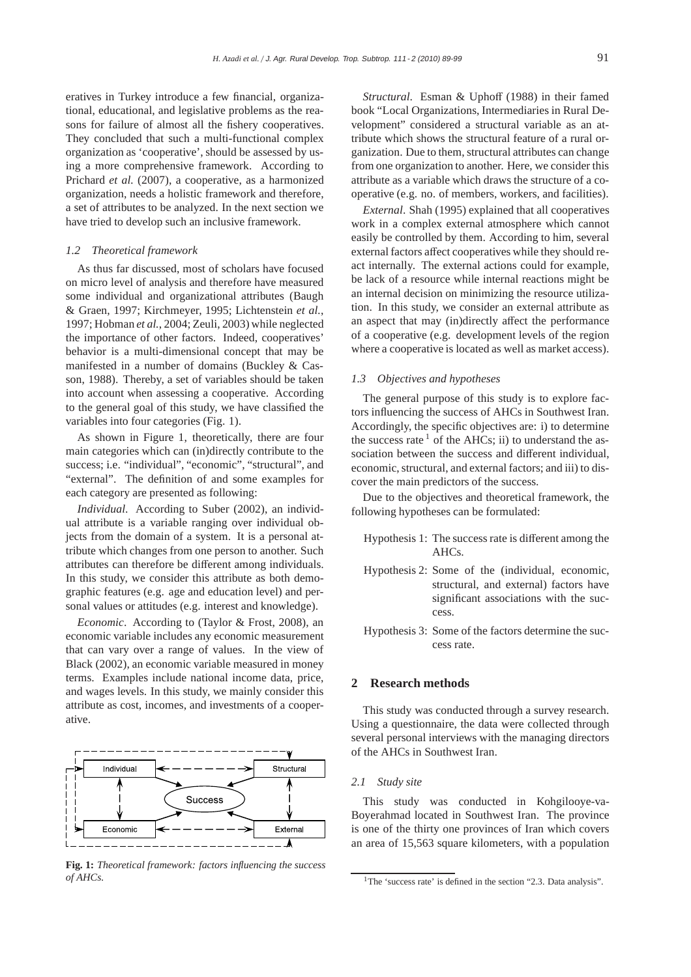eratives in Turkey introduce a few financial, organizational, educational, and legislative problems as the reasons for failure of almost all the fishery cooperatives. They concluded that such a multi-functional complex organization as 'cooperative', should be assessed by using a more comprehensive framework. According to Prichard *et al.* (2007), a cooperative, as a harmonized organization, needs a holistic framework and therefore, a set of attributes to be analyzed. In the next section we have tried to develop such an inclusive framework.

#### *1.2 Theoretical framework*

As thus far discussed, most of scholars have focused on micro level of analysis and therefore have measured some individual and organizational attributes (Baugh & Graen, 1997; Kirchmeyer, 1995; Lichtenstein *et al.*, 1997; Hobman *et al.*, 2004; Zeuli, 2003) while neglected the importance of other factors. Indeed, cooperatives' behavior is a multi-dimensional concept that may be manifested in a number of domains (Buckley & Casson, 1988). Thereby, a set of variables should be taken into account when assessing a cooperative. According to the general goal of this study, we have classified the variables into four categories (Fig. 1).

As shown in Figure 1, theoretically, there are four main categories which can (in)directly contribute to the success; i.e. "individual", "economic", "structural", and "external". The definition of and some examples for each category are presented as following:

*Individual*. According to Suber (2002), an individual attribute is a variable ranging over individual objects from the domain of a system. It is a personal attribute which changes from one person to another. Such attributes can therefore be different among individuals. In this study, we consider this attribute as both demographic features (e.g. age and education level) and personal values or attitudes (e.g. interest and knowledge).

*Economic*. According to (Taylor & Frost, 2008), an economic variable includes any economic measurement that can vary over a range of values. In the view of Black (2002), an economic variable measured in money terms. Examples include national income data, price, and wages levels. In this study, we mainly consider this attribute as cost, incomes, and investments of a cooperative.



**Fig. 1:** *Theoretical framework: factors influencing the success of AHCs.*

*Structural*. Esman & Uphoff (1988) in their famed book "Local Organizations, Intermediaries in Rural Development" considered a structural variable as an attribute which shows the structural feature of a rural organization. Due to them, structural attributes can change from one organization to another. Here, we consider this attribute as a variable which draws the structure of a cooperative (e.g. no. of members, workers, and facilities).

*External*. Shah (1995) explained that all cooperatives work in a complex external atmosphere which cannot easily be controlled by them. According to him, several external factors affect cooperatives while they should react internally. The external actions could for example, be lack of a resource while internal reactions might be an internal decision on minimizing the resource utilization. In this study, we consider an external attribute as an aspect that may (in)directly affect the performance of a cooperative (e.g. development levels of the region where a cooperative is located as well as market access).

#### *1.3 Objectives and hypotheses*

The general purpose of this study is to explore factors influencing the success of AHCs in Southwest Iran. Accordingly, the specific objectives are: i) to determine the success rate  $<sup>1</sup>$  of the AHCs; ii) to understand the as-</sup> sociation between the success and different individual, economic, structural, and external factors; and iii) to discover the main predictors of the success.

Due to the objectives and theoretical framework, the following hypotheses can be formulated:

- Hypothesis 1: The success rate is different among the AHCs.
- Hypothesis 2: Some of the (individual, economic, structural, and external) factors have significant associations with the success.
- Hypothesis 3: Some of the factors determine the success rate.

## **2 Research methods**

This study was conducted through a survey research. Using a questionnaire, the data were collected through several personal interviews with the managing directors of the AHCs in Southwest Iran.

## *2.1 Study site*

This study was conducted in Kohgilooye-va-Boyerahmad located in Southwest Iran. The province is one of the thirty one provinces of Iran which covers an area of 15,563 square kilometers, with a population

<sup>&</sup>lt;sup>1</sup>The 'success rate' is defined in the section  $"2.3$ . Data analysis".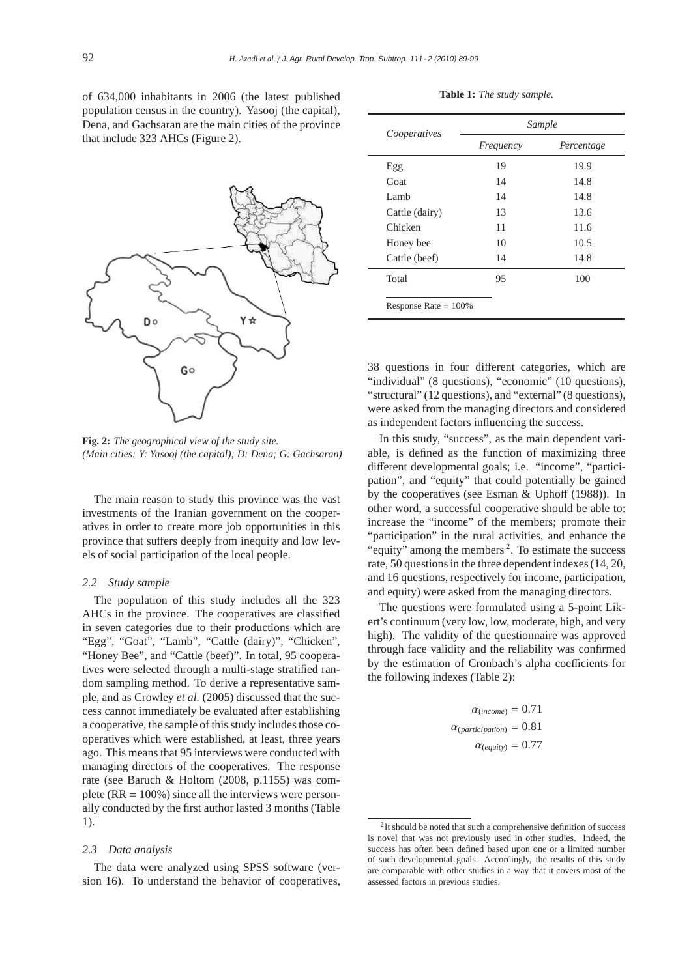of 634,000 inhabitants in 2006 (the latest published population census in the country). Yasooj (the capital), Dena, and Gachsaran are the main cities of the province that include 323 AHCs (Figure 2).



**Fig. 2:** *The geographical view of the study site. (Main cities: Y: Yasooj (the capital); D: Dena; G: Gachsaran)*

The main reason to study this province was the vast investments of the Iranian government on the cooperatives in order to create more job opportunities in this province that suffers deeply from inequity and low levels of social participation of the local people.

## *2.2 Study sample*

The population of this study includes all the 323 AHCs in the province. The cooperatives are classified in seven categories due to their productions which are "Egg", "Goat", "Lamb", "Cattle (dairy)", "Chicken", "Honey Bee", and "Cattle (beef)". In total, 95 cooperatives were selected through a multi-stage stratified random sampling method. To derive a representative sample, and as Crowley *et al.* (2005) discussed that the success cannot immediately be evaluated after establishing a cooperative, the sample of this study includes those cooperatives which were established, at least, three years ago. This means that 95 interviews were conducted with managing directors of the cooperatives. The response rate (see Baruch & Holtom (2008, p.1155) was complete ( $RR = 100\%$ ) since all the interviews were personally conducted by the first author lasted 3 months (Table 1).

#### *2.3 Data analysis*

The data were analyzed using SPSS software (version 16). To understand the behavior of cooperatives,

|  |  |  |  | Table 1: The study sample. |
|--|--|--|--|----------------------------|
|--|--|--|--|----------------------------|

|                         | Sample    |            |  |  |  |
|-------------------------|-----------|------------|--|--|--|
| Cooperatives            | Frequency | Percentage |  |  |  |
| Egg                     | 19        | 19.9       |  |  |  |
| Goat                    | 14        | 14.8       |  |  |  |
| Lamb.                   | 14        | 14.8       |  |  |  |
| Cattle (dairy)          | 13        | 13.6       |  |  |  |
| Chicken                 | 11        | 11.6       |  |  |  |
| Honey bee               | 10        | 10.5       |  |  |  |
| Cattle (beef)           | 14        | 14.8       |  |  |  |
| Total                   | 95        | 100        |  |  |  |
| Response Rate $= 100\%$ |           |            |  |  |  |

38 questions in four different categories, which are "individual" (8 questions), "economic" (10 questions), "structural" (12 questions), and "external" (8 questions), were asked from the managing directors and considered as independent factors influencing the success.

In this study, "success", as the main dependent variable, is defined as the function of maximizing three different developmental goals; i.e. "income", "participation", and "equity" that could potentially be gained by the cooperatives (see Esman & Uphoff (1988)). In other word, a successful cooperative should be able to: increase the "income" of the members; promote their "participation" in the rural activities, and enhance the "equity" among the members<sup>2</sup>. To estimate the success rate, 50 questions in the three dependent indexes (14, 20, and 16 questions, respectively for income, participation, and equity) were asked from the managing directors.

The questions were formulated using a 5-point Likert's continuum (very low, low, moderate, high, and very high). The validity of the questionnaire was approved through face validity and the reliability was confirmed by the estimation of Cronbach's alpha coefficients for the following indexes (Table 2):

> $\alpha_{(income)} = 0.71$  $\alpha_{(participation)} = 0.81$  $\alpha_{(eavity)} = 0.77$

<sup>&</sup>lt;sup>2</sup>It should be noted that such a comprehensive definition of success is novel that was not previously used in other studies. Indeed, the success has often been defined based upon one or a limited number of such developmental goals. Accordingly, the results of this study are comparable with other studies in a way that it covers most of the assessed factors in previous studies.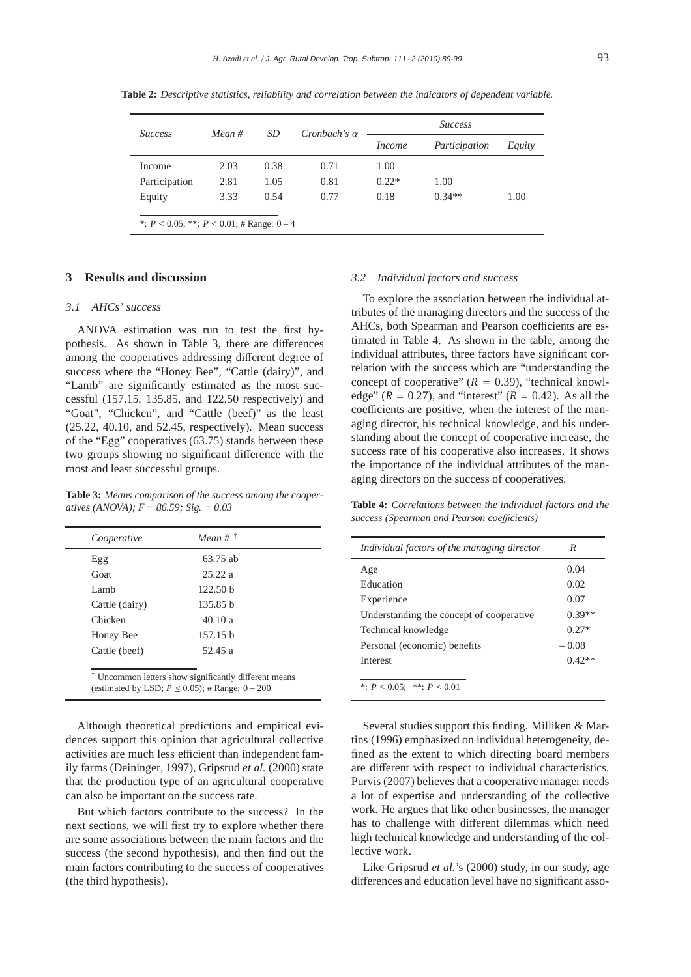| <i>Success</i>                                      | SD<br>$Mean \#$ |      | Cronbach's $\alpha$ | <i>Success</i> |               |        |
|-----------------------------------------------------|-----------------|------|---------------------|----------------|---------------|--------|
|                                                     |                 |      |                     | <i>Income</i>  | Participation | Equity |
| Income                                              | 2.03            | 0.38 | 0.71                | 1.00           |               |        |
| Participation                                       | 2.81            | 1.05 | 0.81                | $0.22*$        | 1.00          |        |
| Equity                                              | 3.33            | 0.54 | 0.77                | 0.18           | $0.34**$      | 1.00   |
|                                                     |                 |      |                     |                |               |        |
| *: $P \le 0.05$ ; **: $P \le 0.01$ ; # Range: 0 − 4 |                 |      |                     |                |               |        |

**Table 2:** *Descriptive statistics, reliability and correlation between the indicators of dependent variable.*

# **3 Results and discussion**

## *3.1 AHCs' success*

ANOVA estimation was run to test the first hypothesis. As shown in Table 3, there are differences among the cooperatives addressing different degree of success where the "Honey Bee", "Cattle (dairy)", and "Lamb" are significantly estimated as the most successful (157.15, 135.85, and 122.50 respectively) and "Goat", "Chicken", and "Cattle (beef)" as the least  $(25.22, 40.10,$  and  $52.45$ , respectively). Mean success of the "Egg" cooperatives (63.75) stands between these two groups showing no significant difference with the most and least successful groups.

**Table 3:** *Means comparison of the success among the cooperatives (ANOVA); F* = *86.59; Sig.* = *0.03*

| Cooperative    | Mean # $\dagger$    |
|----------------|---------------------|
| Egg            | 63.75 ab            |
| Goat           | 25.22a              |
| Lamb           | 122.50 <sub>b</sub> |
| Cattle (dairy) | 135.85 b            |
| Chicken        | 40.10a              |
| Honey Bee      | 157.15 b            |
| Cattle (beef)  | 52.45 a             |

(estimated by LSD;  $P \le 0.05$ ); # Range:  $0 - 200$ 

Although theoretical predictions and empirical evidences support this opinion that agricultural collective activities are much less efficient than independent family farms (Deininger, 1997), Gripsrud *et al.* (2000) state that the production type of an agricultural cooperative can also be important on the success rate.

But which factors contribute to the success? In the next sections, we will first try to explore whether there are some associations between the main factors and the success (the second hypothesis), and then find out the main factors contributing to the success of cooperatives (the third hypothesis).

## *3.2 Individual factors and success*

To explore the association between the individual attributes of the managing directors and the success of the AHCs, both Spearman and Pearson coefficients are estimated in Table 4. As shown in the table, among the individual attributes, three factors have significant correlation with the success which are "understanding the concept of cooperative"  $(R = 0.39)$ , "technical knowledge"  $(R = 0.27)$ , and "interest"  $(R = 0.42)$ . As all the coefficients are positive, when the interest of the managing director, his technical knowledge, and his understanding about the concept of cooperative increase, the success rate of his cooperative also increases. It shows the importance of the individual attributes of the managing directors on the success of cooperatives.

**Table 4:** *Correlations between the individual factors and the success (Spearman and Pearson coe*ffi*cients)*

| Individual factors of the managing director | R        |
|---------------------------------------------|----------|
| Age                                         | 0.04     |
| Education                                   | 0.02     |
| Experience                                  | 0.07     |
| Understanding the concept of cooperative    | $0.39**$ |
| Technical knowledge                         | $0.27*$  |
| Personal (economic) benefits                | $-0.08$  |
| <b>Interest</b>                             | $0.42**$ |
| *: $P < 0.05$ : **: $P < 0.01$              |          |

Several studies support this finding. Milliken & Martins (1996) emphasized on individual heterogeneity, defined as the extent to which directing board members are different with respect to individual characteristics. Purvis (2007) believes that a cooperative manager needs a lot of expertise and understanding of the collective work. He argues that like other businesses, the manager has to challenge with different dilemmas which need high technical knowledge and understanding of the collective work.

Like Gripsrud *et al.*'s (2000) study, in our study, age differences and education level have no significant asso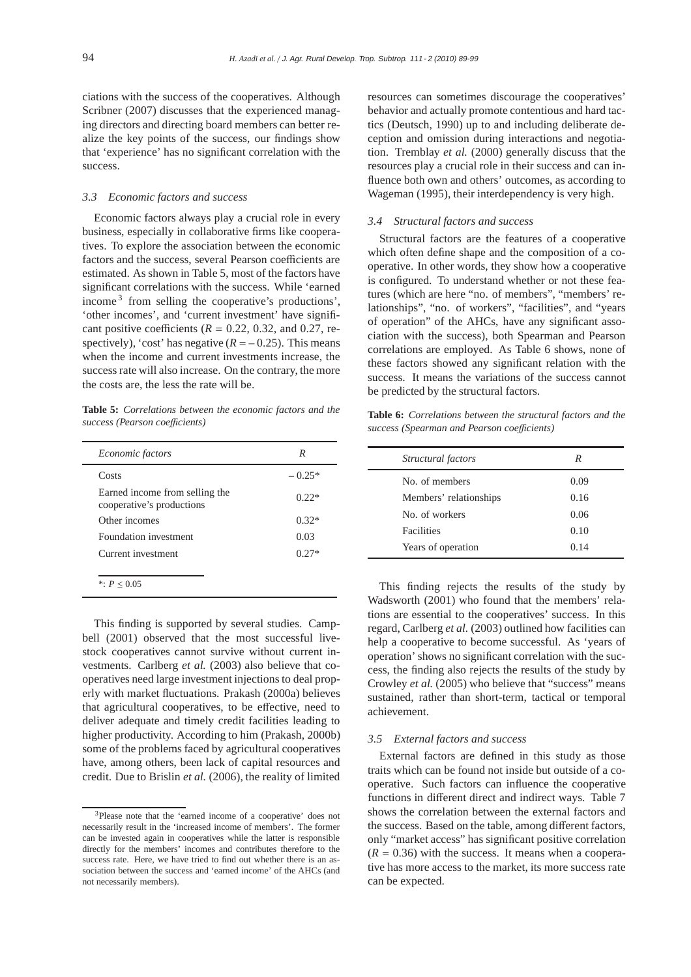ciations with the success of the cooperatives. Although Scribner (2007) discusses that the experienced managing directors and directing board members can better realize the key points of the success, our findings show that 'experience' has no significant correlation with the success.

## *3.3 Economic factors and success*

Economic factors always play a crucial role in every business, especially in collaborative firms like cooperatives. To explore the association between the economic factors and the success, several Pearson coefficients are estimated. As shown in Table 5, most of the factors have significant correlations with the success. While 'earned income<sup>3</sup> from selling the cooperative's productions', 'other incomes', and 'current investment' have significant positive coefficients  $(R = 0.22, 0.32, \text{ and } 0.27, \text{ re-}$ spectively), 'cost' has negative  $(R = -0.25)$ . This means when the income and current investments increase, the success rate will also increase. On the contrary, the more the costs are, the less the rate will be.

**Table 5:** *Correlations between the economic factors and the success (Pearson coe*ffi*cients)*

| Economic factors                                            | R        |
|-------------------------------------------------------------|----------|
| Costs                                                       | $-0.25*$ |
| Earned income from selling the<br>cooperative's productions | $0.22*$  |
| Other incomes                                               | $0.32*$  |
| Foundation investment                                       | 0.03     |
| Current investment                                          | $0.27*$  |
| *: $P < 0.05$                                               |          |

This finding is supported by several studies. Campbell (2001) observed that the most successful livestock cooperatives cannot survive without current investments. Carlberg *et al.* (2003) also believe that cooperatives need large investment injections to deal properly with market fluctuations. Prakash (2000a) believes that agricultural cooperatives, to be effective, need to deliver adequate and timely credit facilities leading to higher productivity. According to him (Prakash, 2000b) some of the problems faced by agricultural cooperatives have, among others, been lack of capital resources and credit. Due to Brislin *et al.* (2006), the reality of limited

resources can sometimes discourage the cooperatives' behavior and actually promote contentious and hard tactics (Deutsch, 1990) up to and including deliberate deception and omission during interactions and negotiation. Tremblay *et al.* (2000) generally discuss that the resources play a crucial role in their success and can influence both own and others' outcomes, as according to Wageman (1995), their interdependency is very high.

#### *3.4 Structural factors and success*

Structural factors are the features of a cooperative which often define shape and the composition of a cooperative. In other words, they show how a cooperative is configured. To understand whether or not these features (which are here "no. of members", "members' relationships", "no. of workers", "facilities", and "years of operation" of the AHCs, have any significant association with the success), both Spearman and Pearson correlations are employed. As Table 6 shows, none of these factors showed any significant relation with the success. It means the variations of the success cannot be predicted by the structural factors.

**Table 6:** *Correlations between the structural factors and the success (Spearman and Pearson coe*ffi*cients)*

| Structural factors     | R    |  |
|------------------------|------|--|
| No. of members         | 0.09 |  |
| Members' relationships | 0.16 |  |
| No. of workers         | 0.06 |  |
| Facilities             | 0.10 |  |
| Years of operation     | 0.14 |  |

This finding rejects the results of the study by Wadsworth (2001) who found that the members' relations are essential to the cooperatives' success. In this regard, Carlberg *et al.* (2003) outlined how facilities can help a cooperative to become successful. As 'years of operation' shows no significant correlation with the success, the finding also rejects the results of the study by Crowley *et al.* (2005) who believe that "success" means sustained, rather than short-term, tactical or temporal achievement.

## *3.5 External factors and success*

External factors are defined in this study as those traits which can be found not inside but outside of a cooperative. Such factors can influence the cooperative functions in different direct and indirect ways. Table 7 shows the correlation between the external factors and the success. Based on the table, among different factors, only "market access" has significant positive correlation  $(R = 0.36)$  with the success. It means when a cooperative has more access to the market, its more success rate can be expected.

<sup>3</sup>Please note that the 'earned income of a cooperative' does not necessarily result in the 'increased income of members'. The former can be invested again in cooperatives while the latter is responsible directly for the members' incomes and contributes therefore to the success rate. Here, we have tried to find out whether there is an association between the success and 'earned income' of the AHCs (and not necessarily members).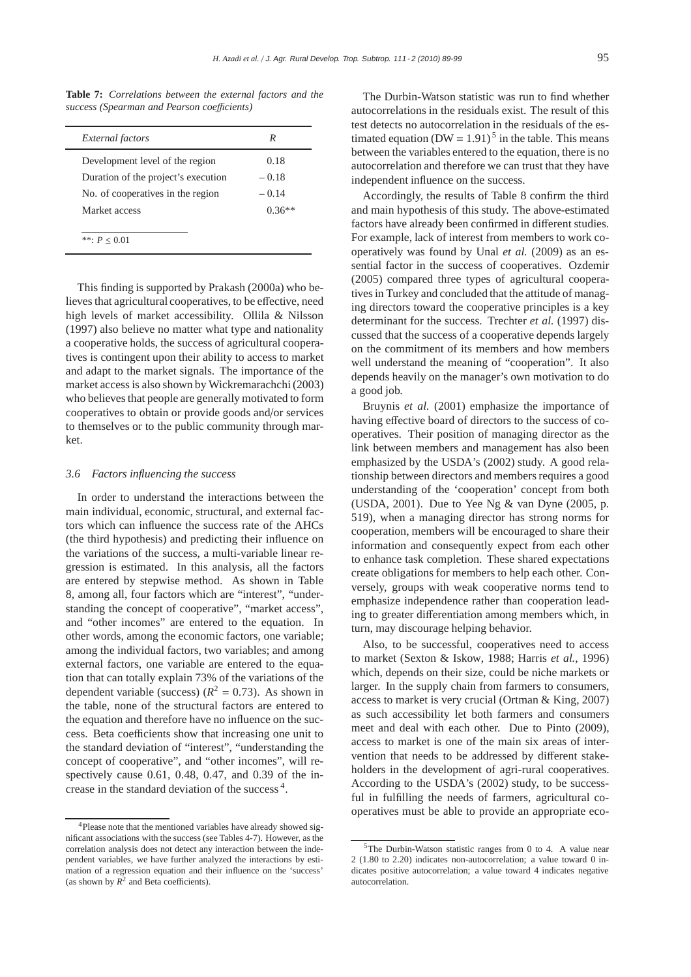**Table 7:** *Correlations between the external factors and the success (Spearman and Pearson coe*ffi*cients)*

| <b>External</b> factors             | R        |
|-------------------------------------|----------|
| Development level of the region     | 0.18     |
| Duration of the project's execution | $-0.18$  |
| No. of cooperatives in the region   | $-0.14$  |
| Market access                       | $0.36**$ |

This finding is supported by Prakash (2000a) who believes that agricultural cooperatives, to be effective, need high levels of market accessibility. Ollila & Nilsson (1997) also believe no matter what type and nationality a cooperative holds, the success of agricultural cooperatives is contingent upon their ability to access to market and adapt to the market signals. The importance of the market access is also shown by Wickremarachchi (2003) who believes that people are generally motivated to form cooperatives to obtain or provide goods and/or services to themselves or to the public community through market.

## *3.6 Factors influencing the success*

In order to understand the interactions between the main individual, economic, structural, and external factors which can influence the success rate of the AHCs (the third hypothesis) and predicting their influence on the variations of the success, a multi-variable linear regression is estimated. In this analysis, all the factors are entered by stepwise method. As shown in Table 8, among all, four factors which are "interest", "understanding the concept of cooperative", "market access", and "other incomes" are entered to the equation. In other words, among the economic factors, one variable; among the individual factors, two variables; and among external factors, one variable are entered to the equation that can totally explain 73% of the variations of the dependent variable (success)  $(R^2 = 0.73)$ . As shown in the table, none of the structural factors are entered to the equation and therefore have no influence on the success. Beta coefficients show that increasing one unit to the standard deviation of "interest", "understanding the concept of cooperative", and "other incomes", will respectively cause 0.61, 0.48, 0.47, and 0.39 of the increase in the standard deviation of the success<sup>4</sup>.

The Durbin-Watson statistic was run to find whether autocorrelations in the residuals exist. The result of this test detects no autocorrelation in the residuals of the estimated equation (DW =  $1.91$ )<sup>5</sup> in the table. This means between the variables entered to the equation, there is no autocorrelation and therefore we can trust that they have independent influence on the success.

Accordingly, the results of Table 8 confirm the third and main hypothesis of this study. The above-estimated factors have already been confirmed in different studies. For example, lack of interest from members to work cooperatively was found by Unal *et al.* (2009) as an essential factor in the success of cooperatives. Ozdemir (2005) compared three types of agricultural cooperatives in Turkey and concluded that the attitude of managing directors toward the cooperative principles is a key determinant for the success. Trechter *et al.* (1997) discussed that the success of a cooperative depends largely on the commitment of its members and how members well understand the meaning of "cooperation". It also depends heavily on the manager's own motivation to do a good job.

Bruynis *et al.* (2001) emphasize the importance of having effective board of directors to the success of cooperatives. Their position of managing director as the link between members and management has also been emphasized by the USDA's (2002) study. A good relationship between directors and members requires a good understanding of the 'cooperation' concept from both (USDA, 2001). Due to Yee Ng & van Dyne (2005, p. 519), when a managing director has strong norms for cooperation, members will be encouraged to share their information and consequently expect from each other to enhance task completion. These shared expectations create obligations for members to help each other. Conversely, groups with weak cooperative norms tend to emphasize independence rather than cooperation leading to greater differentiation among members which, in turn, may discourage helping behavior.

Also, to be successful, cooperatives need to access to market (Sexton & Iskow, 1988; Harris *et al.*, 1996) which, depends on their size, could be niche markets or larger. In the supply chain from farmers to consumers, access to market is very crucial (Ortman & King, 2007) as such accessibility let both farmers and consumers meet and deal with each other. Due to Pinto (2009), access to market is one of the main six areas of intervention that needs to be addressed by different stakeholders in the development of agri-rural cooperatives. According to the USDA's (2002) study, to be successful in fulfilling the needs of farmers, agricultural cooperatives must be able to provide an appropriate eco-

<sup>&</sup>lt;sup>4</sup>Please note that the mentioned variables have already showed significant associations with the success (see Tables 4-7). However, as the correlation analysis does not detect any interaction between the independent variables, we have further analyzed the interactions by estimation of a regression equation and their influence on the 'success' (as shown by  $R^2$  and Beta coefficients).

<sup>5</sup>The Durbin-Watson statistic ranges from 0 to 4. A value near 2 (1.80 to 2.20) indicates non-autocorrelation; a value toward 0 indicates positive autocorrelation; a value toward 4 indicates negative autocorrelation.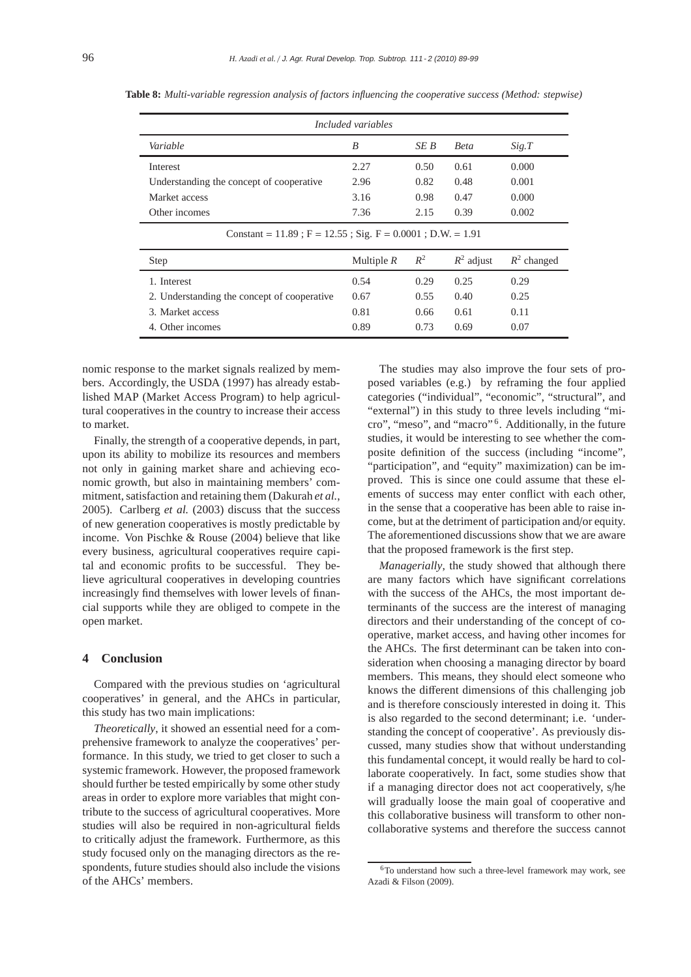| Included variables                                                 |              |       |              |               |  |
|--------------------------------------------------------------------|--------------|-------|--------------|---------------|--|
| Variable                                                           | B            | SE B  | <b>Beta</b>  | Sig.T         |  |
| Interest                                                           | 2.27         | 0.50  | 0.61         | 0.000         |  |
| Understanding the concept of cooperative                           | 2.96         | 0.82  | 0.48         | 0.001         |  |
| Market access                                                      | 3.16         | 0.98  | 0.47         | 0.000         |  |
| Other incomes                                                      | 7.36         | 2.15  | 0.39         | 0.002         |  |
| Constant = $11.89$ ; F = $12.55$ ; Sig. F = $0.0001$ ; D.W. = 1.91 |              |       |              |               |  |
| Step                                                               | Multiple $R$ | $R^2$ | $R^2$ adjust | $R^2$ changed |  |
| 1. Interest                                                        | 0.54         | 0.29  | 0.25         | 0.29          |  |
| 2. Understanding the concept of cooperative                        | 0.67         | 0.55  | 0.40         | 0.25          |  |
| 3. Market access                                                   | 0.81         | 0.66  | 0.61         | 0.11          |  |
| 4 Other incomes                                                    | 0.89         | 0.73  | 0.69         | 0.07          |  |

**Table 8:** *Multi-variable regression analysis of factors influencing the cooperative success (Method: stepwise)*

nomic response to the market signals realized by members. Accordingly, the USDA (1997) has already established MAP (Market Access Program) to help agricultural cooperatives in the country to increase their access to market.

Finally, the strength of a cooperative depends, in part, upon its ability to mobilize its resources and members not only in gaining market share and achieving economic growth, but also in maintaining members' commitment, satisfaction and retaining them (Dakurah *et al.*, 2005). Carlberg *et al.* (2003) discuss that the success of new generation cooperatives is mostly predictable by income. Von Pischke & Rouse (2004) believe that like every business, agricultural cooperatives require capital and economic profits to be successful. They believe agricultural cooperatives in developing countries increasingly find themselves with lower levels of financial supports while they are obliged to compete in the open market.

# **4 Conclusion**

Compared with the previous studies on 'agricultural cooperatives' in general, and the AHCs in particular, this study has two main implications:

*Theoretically*, it showed an essential need for a comprehensive framework to analyze the cooperatives' performance. In this study, we tried to get closer to such a systemic framework. However, the proposed framework should further be tested empirically by some other study areas in order to explore more variables that might contribute to the success of agricultural cooperatives. More studies will also be required in non-agricultural fields to critically adjust the framework. Furthermore, as this study focused only on the managing directors as the respondents, future studies should also include the visions of the AHCs' members.

The studies may also improve the four sets of proposed variables (e.g.) by reframing the four applied categories ("individual", "economic", "structural", and "external") in this study to three levels including "micro", "meso", and "macro" <sup>6</sup> . Additionally, in the future studies, it would be interesting to see whether the composite definition of the success (including "income", "participation", and "equity" maximization) can be improved. This is since one could assume that these elements of success may enter conflict with each other, in the sense that a cooperative has been able to raise income, but at the detriment of participation and/or equity. The aforementioned discussions show that we are aware that the proposed framework is the first step.

*Managerially*, the study showed that although there are many factors which have significant correlations with the success of the AHCs, the most important determinants of the success are the interest of managing directors and their understanding of the concept of cooperative, market access, and having other incomes for the AHCs. The first determinant can be taken into consideration when choosing a managing director by board members. This means, they should elect someone who knows the different dimensions of this challenging job and is therefore consciously interested in doing it. This is also regarded to the second determinant; i.e. 'understanding the concept of cooperative'. As previously discussed, many studies show that without understanding this fundamental concept, it would really be hard to collaborate cooperatively. In fact, some studies show that if a managing director does not act cooperatively, s/he will gradually loose the main goal of cooperative and this collaborative business will transform to other noncollaborative systems and therefore the success cannot

<sup>6</sup>To understand how such a three-level framework may work, see Azadi & Filson (2009).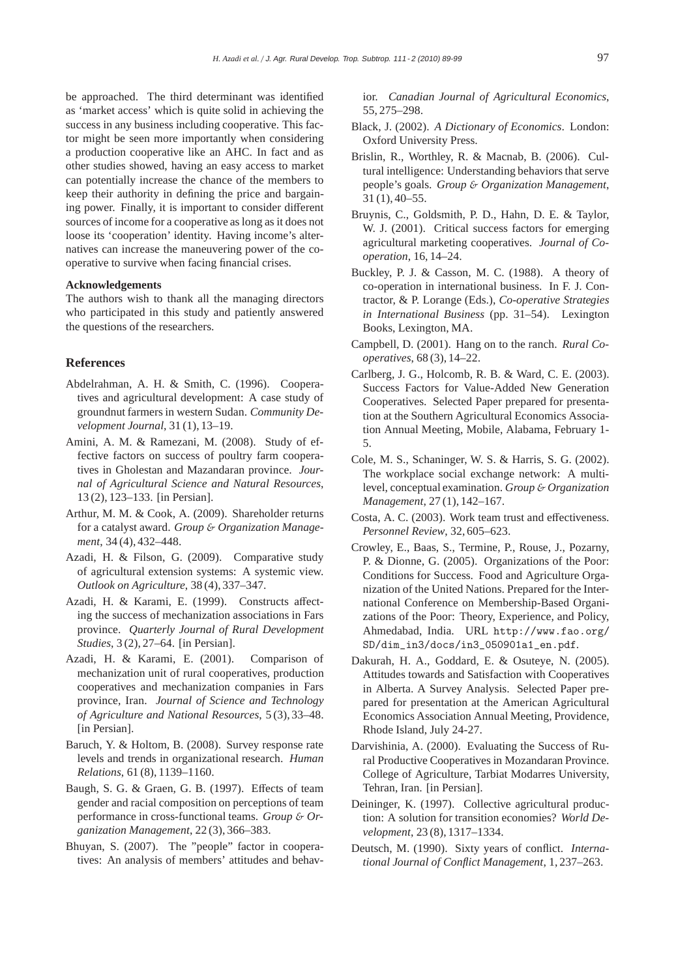be approached. The third determinant was identified as 'market access' which is quite solid in achieving the success in any business including cooperative. This factor might be seen more importantly when considering a production cooperative like an AHC. In fact and as other studies showed, having an easy access to market can potentially increase the chance of the members to keep their authority in defining the price and bargaining power. Finally, it is important to consider different sources of income for a cooperative as long as it does not loose its 'cooperation' identity. Having income's alternatives can increase the maneuvering power of the cooperative to survive when facing financial crises.

## **Acknowledgements**

The authors wish to thank all the managing directors who participated in this study and patiently answered the questions of the researchers.

# **References**

- Abdelrahman, A. H. & Smith, C. (1996). Cooperatives and agricultural development: A case study of groundnut farmers in western Sudan. *Community Development Journal*, 31 (1), 13–19.
- Amini, A. M. & Ramezani, M. (2008). Study of effective factors on success of poultry farm cooperatives in Gholestan and Mazandaran province. *Journal of Agricultural Science and Natural Resources*, 13 (2), 123–133. [in Persian].
- Arthur, M. M. & Cook, A. (2009). Shareholder returns for a catalyst award. *Group* & *Organization Management*, 34 (4), 432–448.
- Azadi, H. & Filson, G. (2009). Comparative study of agricultural extension systems: A systemic view. *Outlook on Agriculture*, 38 (4), 337–347.
- Azadi, H. & Karami, E. (1999). Constructs affecting the success of mechanization associations in Fars province. *Quarterly Journal of Rural Development Studies*, 3 (2), 27–64. [in Persian].
- Azadi, H. & Karami, E. (2001). Comparison of mechanization unit of rural cooperatives, production cooperatives and mechanization companies in Fars province, Iran. *Journal of Science and Technology of Agriculture and National Resources*, 5 (3), 33–48. [in Persian].
- Baruch, Y. & Holtom, B. (2008). Survey response rate levels and trends in organizational research. *Human Relations*, 61 (8), 1139–1160.
- Baugh, S. G. & Graen, G. B. (1997). Effects of team gender and racial composition on perceptions of team performance in cross-functional teams. *Group* & *Organization Management*, 22 (3), 366–383.
- Bhuyan, S. (2007). The "people" factor in cooperatives: An analysis of members' attitudes and behav-

ior. *Canadian Journal of Agricultural Economics*, 55, 275–298.

- Black, J. (2002). *A Dictionary of Economics*. London: Oxford University Press.
- Brislin, R., Worthley, R. & Macnab, B. (2006). Cultural intelligence: Understanding behaviors that serve people's goals. *Group* & *Organization Management*, 31 (1), 40–55.
- Bruynis, C., Goldsmith, P. D., Hahn, D. E. & Taylor, W. J. (2001). Critical success factors for emerging agricultural marketing cooperatives. *Journal of Cooperation*, 16, 14–24.
- Buckley, P. J. & Casson, M. C. (1988). A theory of co-operation in international business. In F. J. Contractor, & P. Lorange (Eds.), *Co-operative Strategies in International Business* (pp. 31–54). Lexington Books, Lexington, MA.
- Campbell, D. (2001). Hang on to the ranch. *Rural Cooperatives*, 68 (3), 14–22.
- Carlberg, J. G., Holcomb, R. B. & Ward, C. E. (2003). Success Factors for Value-Added New Generation Cooperatives. Selected Paper prepared for presentation at the Southern Agricultural Economics Association Annual Meeting, Mobile, Alabama, February 1- 5.
- Cole, M. S., Schaninger, W. S. & Harris, S. G. (2002). The workplace social exchange network: A multilevel, conceptual examination. *Group* & *Organization Management*, 27 (1), 142–167.
- Costa, A. C. (2003). Work team trust and effectiveness. *Personnel Review*, 32, 605–623.
- Crowley, E., Baas, S., Termine, P., Rouse, J., Pozarny, P. & Dionne, G. (2005). Organizations of the Poor: Conditions for Success. Food and Agriculture Organization of the United Nations. Prepared for the International Conference on Membership-Based Organizations of the Poor: Theory, Experience, and Policy, Ahmedabad, India. URL http://www.fao.org/ SD/dim\_in3/docs/in3\_050901a1\_en.pdf.
- Dakurah, H. A., Goddard, E. & Osuteye, N. (2005). Attitudes towards and Satisfaction with Cooperatives in Alberta. A Survey Analysis. Selected Paper prepared for presentation at the American Agricultural Economics Association Annual Meeting, Providence, Rhode Island, July 24-27.
- Darvishinia, A. (2000). Evaluating the Success of Rural Productive Cooperatives in Mozandaran Province. College of Agriculture, Tarbiat Modarres University, Tehran, Iran. [in Persian].
- Deininger, K. (1997). Collective agricultural production: A solution for transition economies? *World Development*, 23 (8), 1317–1334.
- Deutsch, M. (1990). Sixty years of conflict. *International Journal of Conflict Management*, 1, 237–263.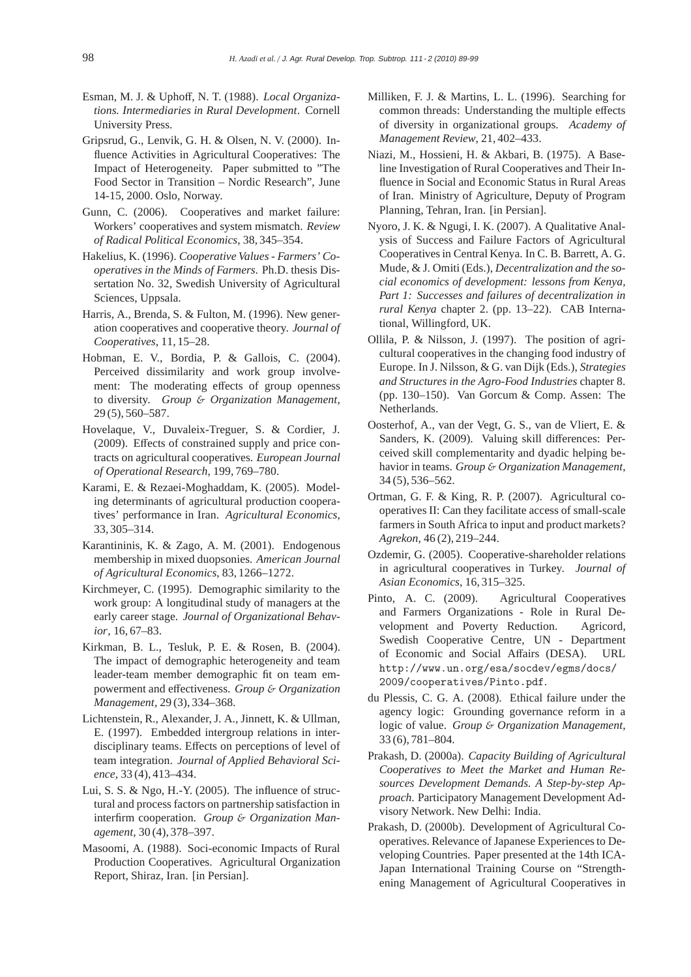- Esman, M. J. & Uphoff, N. T. (1988). *Local Organizations. Intermediaries in Rural Development*. Cornell University Press.
- Gripsrud, G., Lenvik, G. H. & Olsen, N. V. (2000). Influence Activities in Agricultural Cooperatives: The Impact of Heterogeneity. Paper submitted to "The Food Sector in Transition – Nordic Research", June 14-15, 2000. Oslo, Norway.
- Gunn, C. (2006). Cooperatives and market failure: Workers' cooperatives and system mismatch. *Review of Radical Political Economics*, 38, 345–354.
- Hakelius, K. (1996). *Cooperative Values Farmers' Cooperatives in the Minds of Farmers*. Ph.D. thesis Dissertation No. 32, Swedish University of Agricultural Sciences, Uppsala.
- Harris, A., Brenda, S. & Fulton, M. (1996). New generation cooperatives and cooperative theory. *Journal of Cooperatives*, 11, 15–28.
- Hobman, E. V., Bordia, P. & Gallois, C. (2004). Perceived dissimilarity and work group involvement: The moderating effects of group openness to diversity. *Group* & *Organization Management*, 29 (5), 560–587.
- Hovelaque, V., Duvaleix-Treguer, S. & Cordier, J. (2009). Effects of constrained supply and price contracts on agricultural cooperatives. *European Journal of Operational Research*, 199, 769–780.
- Karami, E. & Rezaei-Moghaddam, K. (2005). Modeling determinants of agricultural production cooperatives' performance in Iran. *Agricultural Economics*, 33, 305–314.
- Karantininis, K. & Zago, A. M. (2001). Endogenous membership in mixed duopsonies. *American Journal of Agricultural Economics*, 83, 1266–1272.
- Kirchmeyer, C. (1995). Demographic similarity to the work group: A longitudinal study of managers at the early career stage. *Journal of Organizational Behavior*, 16, 67–83.
- Kirkman, B. L., Tesluk, P. E. & Rosen, B. (2004). The impact of demographic heterogeneity and team leader-team member demographic fit on team empowerment and effectiveness. *Group* & *Organization Management*, 29 (3), 334–368.
- Lichtenstein, R., Alexander, J. A., Jinnett, K. & Ullman, E. (1997). Embedded intergroup relations in interdisciplinary teams. Effects on perceptions of level of team integration. *Journal of Applied Behavioral Science*, 33 (4), 413–434.
- Lui, S. S. & Ngo, H.-Y. (2005). The influence of structural and process factors on partnership satisfaction in interfirm cooperation. *Group* & *Organization Management*, 30 (4), 378–397.
- Masoomi, A. (1988). Soci-economic Impacts of Rural Production Cooperatives. Agricultural Organization Report, Shiraz, Iran. [in Persian].
- Milliken, F. J. & Martins, L. L. (1996). Searching for common threads: Understanding the multiple effects of diversity in organizational groups. *Academy of Management Review*, 21, 402–433.
- Niazi, M., Hossieni, H. & Akbari, B. (1975). A Baseline Investigation of Rural Cooperatives and Their Influence in Social and Economic Status in Rural Areas of Iran. Ministry of Agriculture, Deputy of Program Planning, Tehran, Iran. [in Persian].
- Nyoro, J. K. & Ngugi, I. K. (2007). A Qualitative Analysis of Success and Failure Factors of Agricultural Cooperatives in Central Kenya. In C. B. Barrett, A. G. Mude, & J. Omiti (Eds.), *Decentralization and the social economics of development: lessons from Kenya, Part 1: Successes and failures of decentralization in rural Kenya* chapter 2. (pp. 13–22). CAB International, Willingford, UK.
- Ollila, P. & Nilsson, J. (1997). The position of agricultural cooperatives in the changing food industry of Europe. In J. Nilsson, & G. van Dijk (Eds.), *Strategies and Structures in the Agro-Food Industries* chapter 8. (pp. 130–150). Van Gorcum & Comp. Assen: The Netherlands.
- Oosterhof, A., van der Vegt, G. S., van de Vliert, E. & Sanders, K. (2009). Valuing skill differences: Perceived skill complementarity and dyadic helping behavior in teams. *Group* & *Organization Management*, 34 (5), 536–562.
- Ortman, G. F. & King, R. P. (2007). Agricultural cooperatives II: Can they facilitate access of small-scale farmers in South Africa to input and product markets? *Agrekon*, 46 (2), 219–244.
- Ozdemir, G. (2005). Cooperative-shareholder relations in agricultural cooperatives in Turkey. *Journal of Asian Economics*, 16, 315–325.
- Pinto, A. C. (2009). Agricultural Cooperatives and Farmers Organizations - Role in Rural Development and Poverty Reduction. Agricord, Swedish Cooperative Centre, UN - Department of Economic and Social Affairs (DESA). URL http://www.un.org/esa/socdev/egms/docs/ 2009/cooperatives/Pinto.pdf.
- du Plessis, C. G. A. (2008). Ethical failure under the agency logic: Grounding governance reform in a logic of value. *Group* & *Organization Management*, 33 (6), 781–804.
- Prakash, D. (2000a). *Capacity Building of Agricultural Cooperatives to Meet the Market and Human Resources Development Demands. A Step-by-step Approach*. Participatory Management Development Advisory Network. New Delhi: India.
- Prakash, D. (2000b). Development of Agricultural Cooperatives. Relevance of Japanese Experiences to Developing Countries. Paper presented at the 14th ICA-Japan International Training Course on "Strengthening Management of Agricultural Cooperatives in